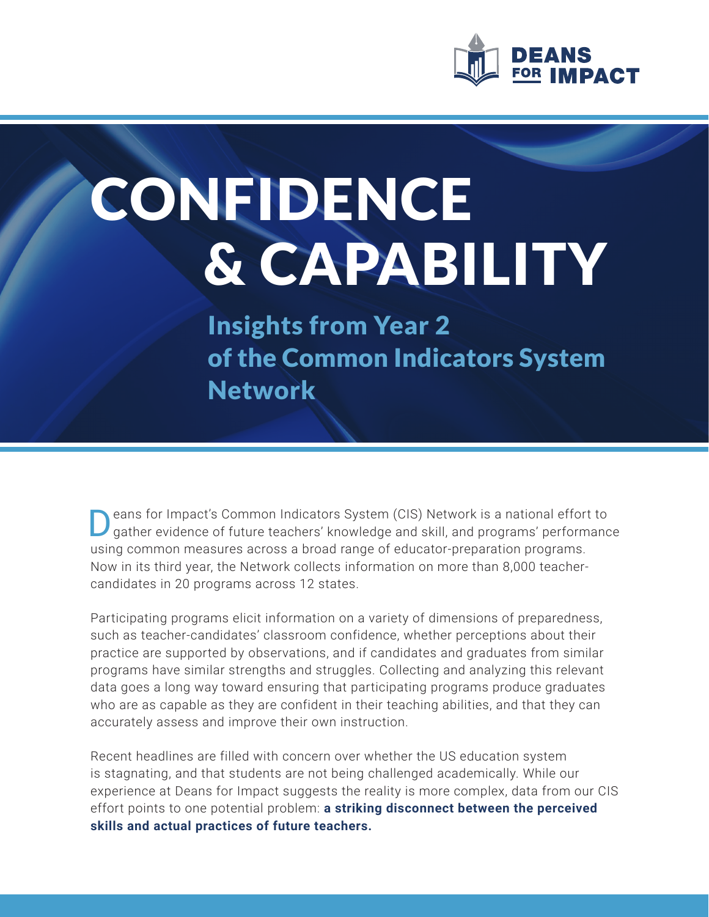

# CONFIDENCE & CAPABILITY

Insights from Year 2 of the Common Indicators System **Network** 

eans for Impact's Common Indicators System (CIS) Network is a national effort to gather evidence of future teachers' knowledge and skill, and programs' performance using common measures across a broad range of educator-preparation programs. Now in its third year, the Network collects information on more than 8,000 teachercandidates in 20 programs across 12 states.

Participating programs elicit information on a variety of dimensions of preparedness, such as teacher-candidates' classroom confidence, whether perceptions about their practice are supported by observations, and if candidates and graduates from similar programs have similar strengths and struggles. Collecting and analyzing this relevant data goes a long way toward ensuring that participating programs produce graduates who are as capable as they are confident in their teaching abilities, and that they can accurately assess and improve their own instruction.

Recent headlines are filled with concern over whether the US education system is stagnating, and that students are not being challenged academically. While our experience at Deans for Impact suggests the reality is more complex, data from our CIS effort points to one potential problem: **a striking disconnect between the perceived skills and actual practices of future teachers.**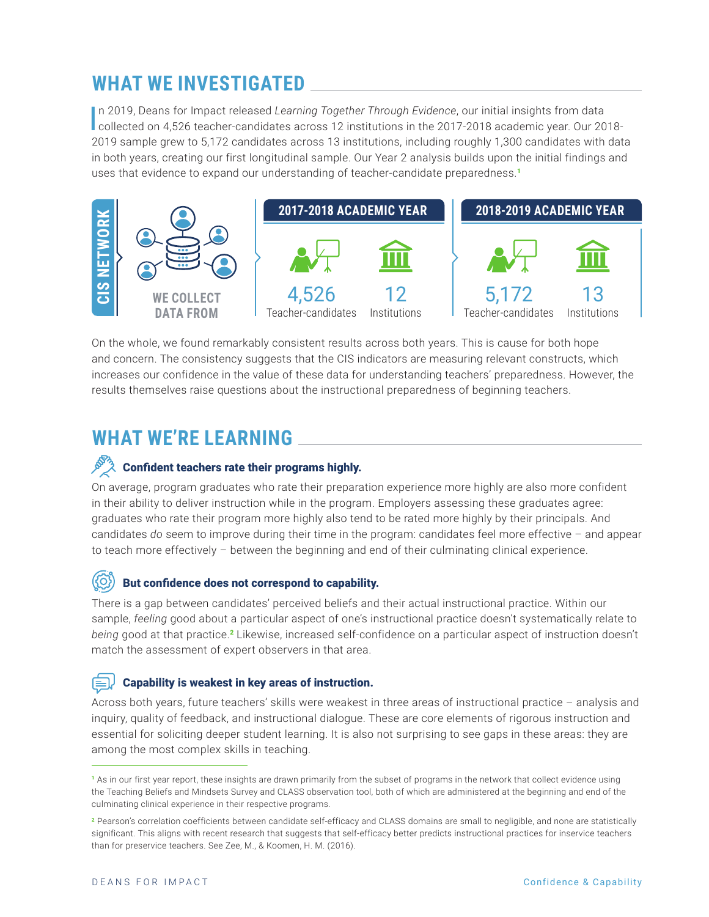# **WHAT WE INVESTIGATED**

In 2019, Deans for Impact released Learning Together Through Evidence, our initial insights from data<br>Collected on 4,526 teacher-candidates across 12 institutions in the 2017-2018 academic year. Our 2018n 2019, Deans for Impact released *Learning Together Through Evidence*, our initial insights from data 2019 sample grew to 5,172 candidates across 13 institutions, including roughly 1,300 candidates with data in both years, creating our first longitudinal sample. Our Year 2 analysis builds upon the initial findings and uses that evidence to expand our understanding of teacher-candidate preparedness.<sup>1</sup>



On the whole, we found remarkably consistent results across both years. This is cause for both hope and concern. The consistency suggests that the CIS indicators are measuring relevant constructs, which increases our confidence in the value of these data for understanding teachers' preparedness. However, the results themselves raise questions about the instructional preparedness of beginning teachers.

# **WHAT WE'RE LEARNING**

## Confident teachers rate their programs highly.

On average, program graduates who rate their preparation experience more highly are also more confident in their ability to deliver instruction while in the program. Employers assessing these graduates agree: graduates who rate their program more highly also tend to be rated more highly by their principals. And candidates *do* seem to improve during their time in the program: candidates feel more effective – and appear to teach more effectively – between the beginning and end of their culminating clinical experience.

#### ((රි) But confidence does not correspond to capability.

There is a gap between candidates' perceived beliefs and their actual instructional practice. Within our sample, *feeling* good about a particular aspect of one's instructional practice doesn't systematically relate to *being* good at that practice.<sup>2</sup> Likewise, increased self-confidence on a particular aspect of instruction doesn't match the assessment of expert observers in that area.

## Capability is weakest in key areas of instruction.

Across both years, future teachers' skills were weakest in three areas of instructional practice – analysis and inquiry, quality of feedback, and instructional dialogue. These are core elements of rigorous instruction and essential for soliciting deeper student learning. It is also not surprising to see gaps in these areas: they are among the most complex skills in teaching.

<sup>1</sup> As in our first year report, these insights are drawn primarily from the subset of programs in the network that collect evidence using the Teaching Beliefs and Mindsets Survey and CLASS observation tool, both of which are administered at the beginning and end of the culminating clinical experience in their respective programs.

<sup>&</sup>lt;sup>2</sup> Pearson's correlation coefficients between candidate self-efficacy and CLASS domains are small to negligible, and none are statistically significant. This aligns with recent research that suggests that self-efficacy better predicts instructional practices for inservice teachers than for preservice teachers. See Zee, M., & Koomen, H. M. (2016).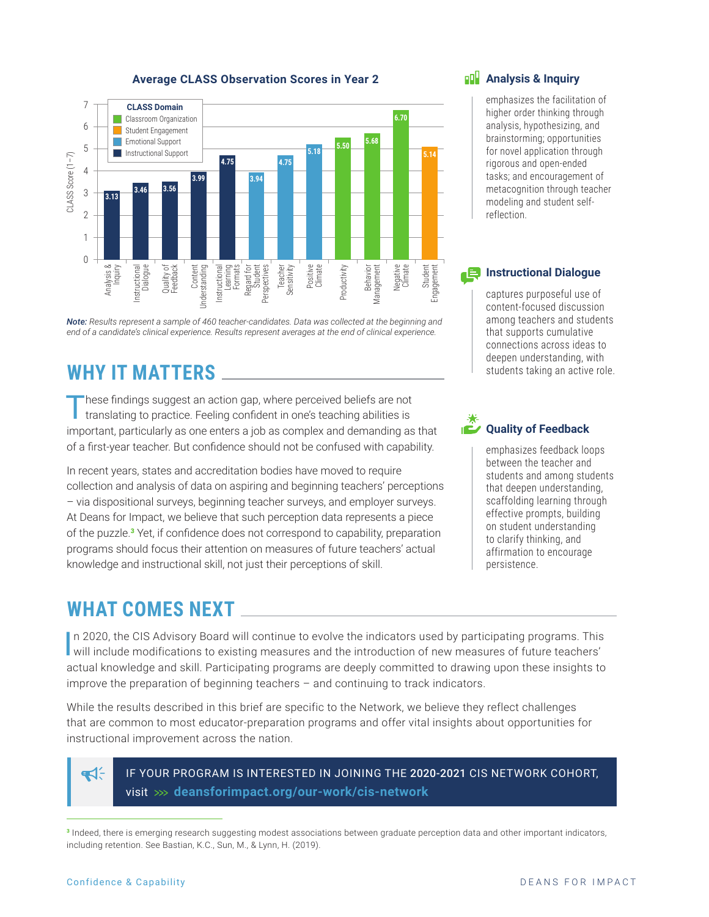

#### **Average CLASS Observation Scores in Year 2**



Instructional Learning Formats Regard for Student erspectives Teacher<br>Sensitivity

Content Understanding

**Jnderstanding** 

Quality of Feedback

# **WHY IT MATTERS**

istructional

0

Analysis & Inquiry Instructional Dialogue

These findings suggest an action gap, where perceived beliefs are not translating to practice. Feeling confident in one's teaching abilities is important, particularly as one enters a job as complex and demanding as that of a first-year teacher. But confidence should not be confused with capability.

In recent years, states and accreditation bodies have moved to require collection and analysis of data on aspiring and beginning teachers' perceptions – via dispositional surveys, beginning teacher surveys, and employer surveys. At Deans for Impact, we believe that such perception data represents a piece of the puzzle.<sup>3</sup> Yet, if confidence does not correspond to capability, preparation programs should focus their attention on measures of future teachers' actual knowledge and instructional skill, not just their perceptions of skill.

# **WHAT COMES NEXT**

In 2020, the CIS Advisory Board will continue to evolve the indicators used by participating programs. This will include modifications to existing measures and the introduction of new measures of future teachers' In 2020, the CIS Advisory Board will continue to evolve the indicators used by participating programs. This actual knowledge and skill. Participating programs are deeply committed to drawing upon these insights to improve the preparation of beginning teachers – and continuing to track indicators.

While the results described in this brief are specific to the Network, we believe they reflect challenges that are common to most educator-preparation programs and offer vital insights about opportunities for instructional improvement across the nation.

ส⊱

IF YOUR PROGRAM IS INTERESTED IN JOINING THE 2020-2021 CIS NETWORK COHORT, visit **deansforimpact.org/our-work/cis-network**

Positive Climate

Negative Climate

**Behavior** Management

Productivity

Student Engagement

#### **Analysis & Inquiry**

emphasizes the facilitation of higher order thinking through analysis, hypothesizing, and brainstorming; opportunities for novel application through rigorous and open-ended tasks; and encouragement of metacognition through teacher modeling and student selfreflection.

#### **Instructional Dialogue**

captures purposeful use of content-focused discussion among teachers and students that supports cumulative connections across ideas to deepen understanding, with students taking an active role.

## **Quality of Feedback**

emphasizes feedback loops between the teacher and students and among students that deepen understanding, scaffolding learning through effective prompts, building on student understanding to clarify thinking, and affirmation to encourage persistence.

<sup>3</sup> Indeed, there is emerging research suggesting modest associations between graduate perception data and other important indicators, including retention. See Bastian, K.C., Sun, M., & Lynn, H. (2019).